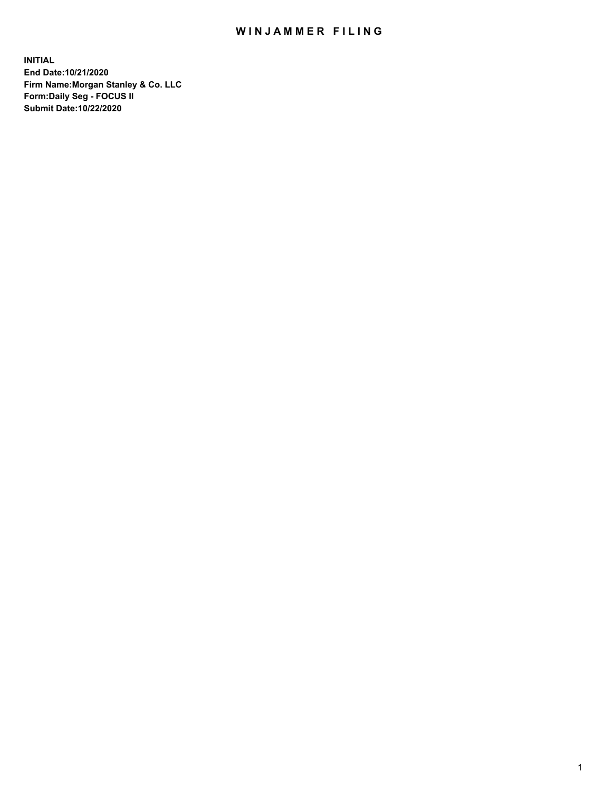## WIN JAMMER FILING

**INITIAL End Date:10/21/2020 Firm Name:Morgan Stanley & Co. LLC Form:Daily Seg - FOCUS II Submit Date:10/22/2020**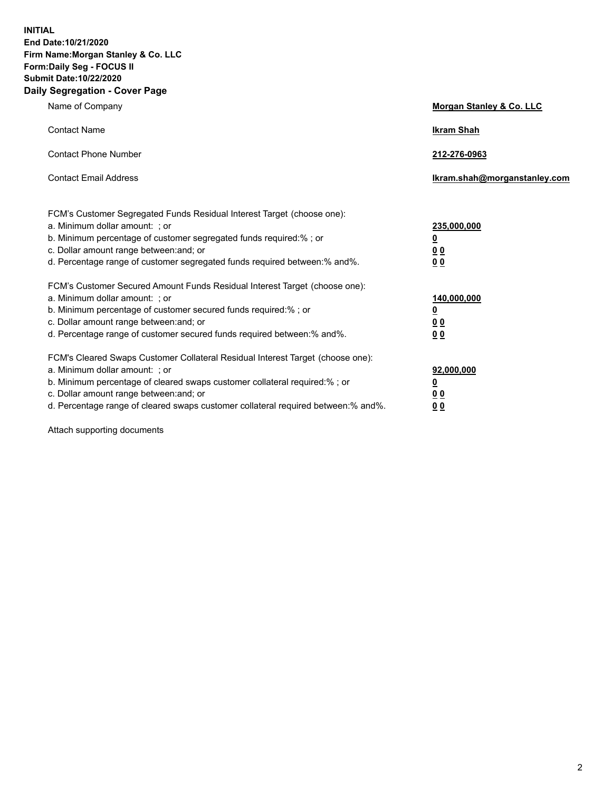**INITIAL End Date:10/21/2020 Firm Name:Morgan Stanley & Co. LLC Form:Daily Seg - FOCUS II Submit Date:10/22/2020 Daily Segregation - Cover Page**

| Name of Company                                                                                                                                                                                                                                                                                                                | <b>Morgan Stanley &amp; Co. LLC</b>                         |
|--------------------------------------------------------------------------------------------------------------------------------------------------------------------------------------------------------------------------------------------------------------------------------------------------------------------------------|-------------------------------------------------------------|
| <b>Contact Name</b>                                                                                                                                                                                                                                                                                                            | <b>Ikram Shah</b>                                           |
| <b>Contact Phone Number</b>                                                                                                                                                                                                                                                                                                    | 212-276-0963                                                |
| <b>Contact Email Address</b>                                                                                                                                                                                                                                                                                                   | Ikram.shah@morganstanley.com                                |
| FCM's Customer Segregated Funds Residual Interest Target (choose one):<br>a. Minimum dollar amount: ; or<br>b. Minimum percentage of customer segregated funds required:% ; or<br>c. Dollar amount range between: and; or<br>d. Percentage range of customer segregated funds required between:% and%.                         | 235,000,000<br><u>0</u><br>0 <sub>0</sub><br>0 <sub>0</sub> |
| FCM's Customer Secured Amount Funds Residual Interest Target (choose one):<br>a. Minimum dollar amount: ; or<br>b. Minimum percentage of customer secured funds required:%; or<br>c. Dollar amount range between: and; or<br>d. Percentage range of customer secured funds required between:% and%.                            | 140,000,000<br><u>0</u><br>0 <sub>0</sub><br>0 <sub>0</sub> |
| FCM's Cleared Swaps Customer Collateral Residual Interest Target (choose one):<br>a. Minimum dollar amount: ; or<br>b. Minimum percentage of cleared swaps customer collateral required:% ; or<br>c. Dollar amount range between: and; or<br>d. Percentage range of cleared swaps customer collateral required between:% and%. | 92,000,000<br><u>0</u><br><u>00</u><br>00                   |

Attach supporting documents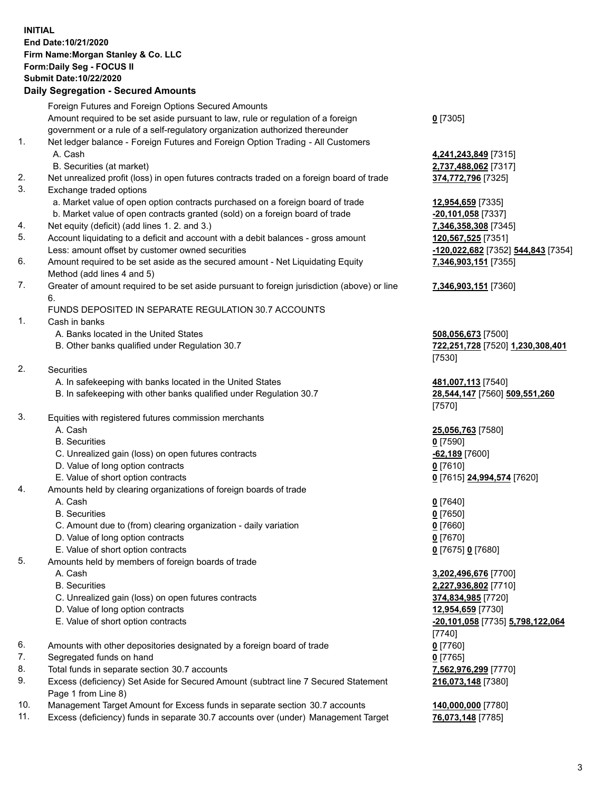## **INITIAL End Date:10/21/2020 Firm Name:Morgan Stanley & Co. LLC Form:Daily Seg - FOCUS II Submit Date:10/22/2020**

## **Daily Segregation - Secured Amounts**

Foreign Futures and Foreign Options Secured Amounts Amount required to be set aside pursuant to law, rule or regulation of a foreign government or a rule of a self-regulatory organization authorized thereunder 1. Net ledger balance - Foreign Futures and Foreign Option Trading - All Customers A. Cash **4,241,243,849** [7315] B. Securities (at market) **2,737,488,062** [7317] 2. Net unrealized profit (loss) in open futures contracts traded on a foreign board of trade **374,772,796** [7325] 3. Exchange traded options a. Market value of open option contracts purchased on a foreign board of trade **12,954,659** [7335] b. Market value of open contracts granted (sold) on a foreign board of trade **-20,101,058** [7337] 4. Net equity (deficit) (add lines 1. 2. and 3.) **7,346,358,308** [7345] 5. Account liquidating to a deficit and account with a debit balances - gross amount **120,567,525** [7351] Less: amount offset by customer owned securities **-120,022,682** [7352] **544,843** [7354] 6. Amount required to be set aside as the secured amount - Net Liquidating Equity Method (add lines 4 and 5) 7. Greater of amount required to be set aside pursuant to foreign jurisdiction (above) or line 6. FUNDS DEPOSITED IN SEPARATE REGULATION 30.7 ACCOUNTS 1. Cash in banks A. Banks located in the United States **508,056,673** [7500] B. Other banks qualified under Regulation 30.7 **722,251,728** [7520] **1,230,308,401** 2. Securities A. In safekeeping with banks located in the United States **481,007,113** [7540] B. In safekeeping with other banks qualified under Regulation 30.7 **28,544,147** [7560] **509,551,260** 3. Equities with registered futures commission merchants A. Cash **25,056,763** [7580] B. Securities **0** [7590] C. Unrealized gain (loss) on open futures contracts **-62,189** [7600] D. Value of long option contracts **0** [7610] E. Value of short option contracts **0** [7615] **24,994,574** [7620] 4. Amounts held by clearing organizations of foreign boards of trade A. Cash **0** [7640] B. Securities **0** [7650] C. Amount due to (from) clearing organization - daily variation **0** [7660] D. Value of long option contracts **0** [7670] E. Value of short option contracts **0** [7675] **0** [7680] 5. Amounts held by members of foreign boards of trade A. Cash **3,202,496,676** [7700] B. Securities **2,227,936,802** [7710] C. Unrealized gain (loss) on open futures contracts **374,834,985** [7720] D. Value of long option contracts **12,954,659** [7730] E. Value of short option contracts **-20,101,058** [7735] **5,798,122,064** 6. Amounts with other depositories designated by a foreign board of trade **0** [7760] 7. Segregated funds on hand **0** [7765] 8. Total funds in separate section 30.7 accounts **7,562,976,299** [7770] 9. Excess (deficiency) Set Aside for Secured Amount (subtract line 7 Secured Statement

10. Management Target Amount for Excess funds in separate section 30.7 accounts **140,000,000** [7780]

Page 1 from Line 8)

11. Excess (deficiency) funds in separate 30.7 accounts over (under) Management Target **76,073,148** [7785]

**0** [7305]

**7,346,903,151** [7355]

## **7,346,903,151** [7360]

[7530]

[7570]

[7740] **216,073,148** [7380]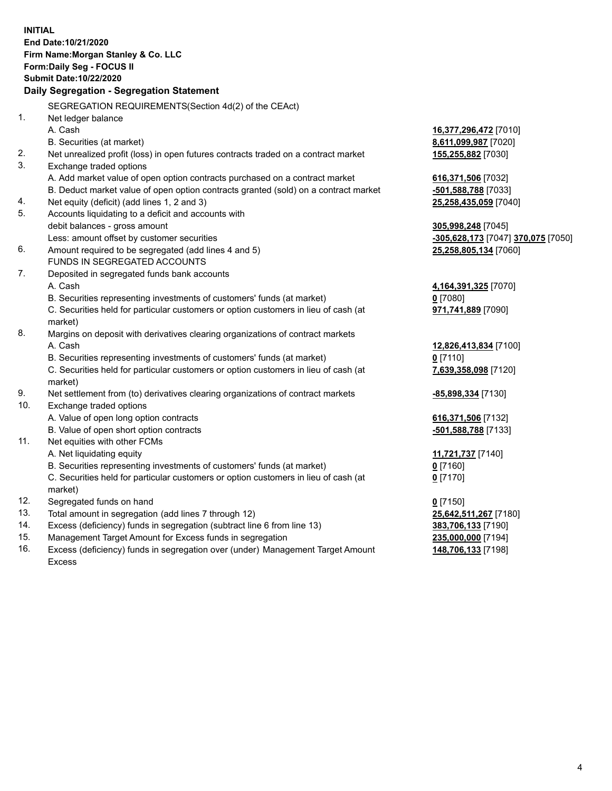| <b>INITIAL</b> | End Date:10/21/2020<br>Firm Name: Morgan Stanley & Co. LLC<br>Form: Daily Seg - FOCUS II<br><b>Submit Date: 10/22/2020</b><br>Daily Segregation - Segregation Statement |                                    |
|----------------|-------------------------------------------------------------------------------------------------------------------------------------------------------------------------|------------------------------------|
|                | SEGREGATION REQUIREMENTS(Section 4d(2) of the CEAct)                                                                                                                    |                                    |
| 1.             | Net ledger balance                                                                                                                                                      |                                    |
|                | A. Cash                                                                                                                                                                 | 16,377,296,472 [7010]              |
|                | B. Securities (at market)                                                                                                                                               | 8,611,099,987 [7020]               |
| 2.             | Net unrealized profit (loss) in open futures contracts traded on a contract market                                                                                      | 155,255,882 [7030]                 |
| 3.             | Exchange traded options                                                                                                                                                 |                                    |
|                | A. Add market value of open option contracts purchased on a contract market                                                                                             | 616,371,506 [7032]                 |
|                | B. Deduct market value of open option contracts granted (sold) on a contract market                                                                                     | -501,588,788 [7033]                |
| 4.             | Net equity (deficit) (add lines 1, 2 and 3)                                                                                                                             | 25,258,435,059 [7040]              |
| 5.             | Accounts liquidating to a deficit and accounts with                                                                                                                     |                                    |
|                | debit balances - gross amount                                                                                                                                           | 305,998,248 [7045]                 |
|                | Less: amount offset by customer securities                                                                                                                              | -305,628,173 [7047] 370,075 [7050] |
| 6.             | Amount required to be segregated (add lines 4 and 5)                                                                                                                    | 25,258,805,134 [7060]              |
|                | FUNDS IN SEGREGATED ACCOUNTS                                                                                                                                            |                                    |
| 7.             | Deposited in segregated funds bank accounts                                                                                                                             |                                    |
|                | A. Cash                                                                                                                                                                 | 4,164,391,325 [7070]               |
|                | B. Securities representing investments of customers' funds (at market)                                                                                                  | $0$ [7080]                         |
|                | C. Securities held for particular customers or option customers in lieu of cash (at<br>market)                                                                          | 971,741,889 [7090]                 |
| 8.             | Margins on deposit with derivatives clearing organizations of contract markets                                                                                          |                                    |
|                | A. Cash                                                                                                                                                                 | 12,826,413,834 [7100]              |
|                | B. Securities representing investments of customers' funds (at market)                                                                                                  | $0$ [7110]                         |
|                | C. Securities held for particular customers or option customers in lieu of cash (at<br>market)                                                                          | 7,639,358,098 [7120]               |
| 9.             | Net settlement from (to) derivatives clearing organizations of contract markets                                                                                         | -85,898,334 [7130]                 |
| 10.            | Exchange traded options                                                                                                                                                 |                                    |
|                | A. Value of open long option contracts                                                                                                                                  | 616,371,506 [7132]                 |
|                | B. Value of open short option contracts                                                                                                                                 | -501,588,788 [7133]                |
| 11.            | Net equities with other FCMs                                                                                                                                            |                                    |
|                | A. Net liquidating equity                                                                                                                                               | 11,721,737 [7140]                  |
|                | B. Securities representing investments of customers' funds (at market)                                                                                                  | <u>0</u> [7160]                    |
|                | C. Securities held for particular customers or option customers in lieu of cash (at<br>market)                                                                          | $0$ [7170]                         |
| 12.            | Segregated funds on hand                                                                                                                                                | $0$ [7150]                         |
| 13.            | Total amount in segregation (add lines 7 through 12)                                                                                                                    | 25,642,511,267 [7180]              |
| 14.            | Excess (deficiency) funds in segregation (subtract line 6 from line 13)                                                                                                 | 383,706,133 [7190]                 |
| 15.            | Management Target Amount for Excess funds in segregation                                                                                                                | 235,000,000 [7194]                 |
|                |                                                                                                                                                                         |                                    |

16. Excess (deficiency) funds in segregation over (under) Management Target Amount Excess

**148,706,133** [7198]